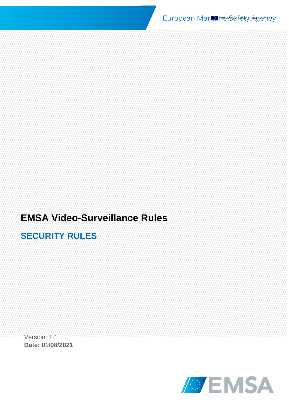# **EMSA Video-Surveillance Rules**

# **SECURITY RULES**

Version: 1.1 **Date: 01/08/2021**

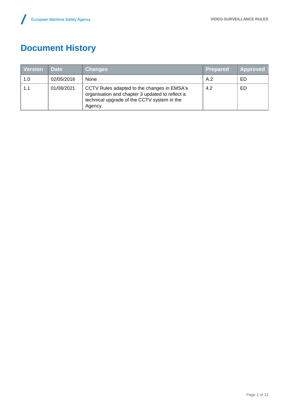# **Document History**

| <b>Version</b> | <b>Date</b> | <b>Changes</b>                                                                                                                                           | <b>Prepared</b> | Approved |
|----------------|-------------|----------------------------------------------------------------------------------------------------------------------------------------------------------|-----------------|----------|
| 1.0            | 02/05/2016  | <b>None</b>                                                                                                                                              | A.2             | ED       |
| 1.1            | 01/08/2021  | CCTV Rules adapted to the changes in EMSA's<br>organisation and chapter 3 updated to reflect a<br>technical upgrade of the CCTV system in the<br>Agency. | 4.2             | ED       |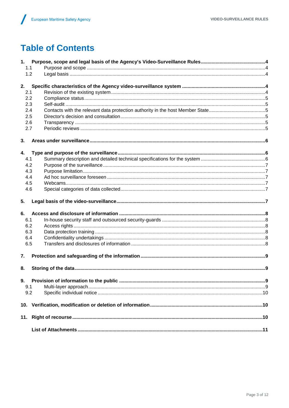# **Table of Contents**

| 1.1 |  |
|-----|--|
| 1.2 |  |
| 2.  |  |
| 2.1 |  |
| 2.2 |  |
| 2.3 |  |
| 2.4 |  |
| 2.5 |  |
| 2.6 |  |
| 2.7 |  |
| 3.  |  |
| 4.  |  |
| 4.1 |  |
| 4.2 |  |
| 4.3 |  |
| 4.4 |  |
| 4.5 |  |
| 4.6 |  |
| 5.  |  |
| 6.  |  |
| 6.1 |  |
| 6.2 |  |
| 6.3 |  |
| 6.4 |  |
| 6.5 |  |
| 7.  |  |
| 8.  |  |
| 9.  |  |
| 9.1 |  |
| 9.2 |  |
|     |  |
|     |  |
|     |  |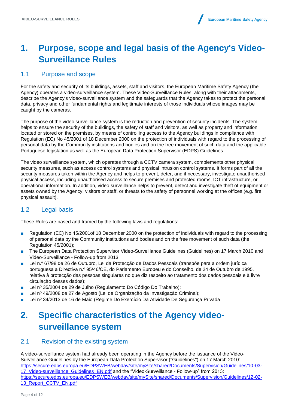# <span id="page-3-0"></span>**1. Purpose, scope and legal basis of the Agency's Video-Surveillance Rules**

#### <span id="page-3-1"></span>1.1 Purpose and scope

For the safety and security of its buildings, assets, staff and visitors, the European Maritime Safety Agency (the Agency) operates a video-surveillance system. These Video-Surveillance Rules, along with their attachments, describe the Agency's video-surveillance system and the safeguards that the Agency takes to protect the personal data, privacy and other fundamental rights and legitimate interests of those individuals whose images may be caught by the cameras.

The purpose of the video surveillance system is the reduction and prevention of security incidents. The system helps to ensure the security of the buildings, the safety of staff and visitors, as well as property and information located or stored on the premises, by means of controlling access to the Agency buildings in compliance with Regulation (EC) No 45/2001 of 18 December 2000 on the protection of individuals with regard to the processing of personal data by the Community institutions and bodies and on the free movement of such data and the applicable Portuguese legislation as well as the European Data Protection Supervisor (EDPS) Guidelines.

The video surveillance system, which operates through a CCTV camera system, complements other physical security measures, such as access control systems and physical intrusion control systems. It forms part of all the security measures taken within the Agency and helps to prevent, deter, and if necessary, investigate unauthorised physical access, including unauthorised access to secure premises and protected rooms, ICT infrastructure, or operational information. In addition, video surveillance helps to prevent, detect and investigate theft of equipment or assets owned by the Agency, visitors or staff, or threats to the safety of personnel working at the offices (e.g. fire, physical assault).

#### <span id="page-3-2"></span>1.2 Legal basis

These Rules are based and framed by the following laws and regulations:

- Regulation (EC) No 45/2001 of 18 December 2000 on the protection of individuals with regard to the processing of personal data by the Community institutions and bodies and on the free movement of such data (the Regulation 45/2001);
- The European Data Protection Supervisor Video-Surveillance Guidelines (Guidelines) on 17 March 2010 and Video-Surveillance - Follow-up from 2013;
- Lei n.º 67/98 de 26 de Outubro, Lei da Protecção de Dados Pessoais (transpõe para a ordem jurídica portuguesa a Directiva n.º 95/46/CE, do Parlamento Europeu e do Conselho, de 24 de Outubro de 1995, relativa à protecção das pessoas singulares no que diz respeito ao tratamento dos dados pessoais e à livre circulação desses dados);
- Lei nº 35/2004 de 29 de Julho (Regulamento Do Código Do Trabalho);
- Lei nº 49/2008 de 27 de Agosto (Lei de Organização da Investigação Criminal);
- <span id="page-3-3"></span>■ Lei nº 34/2013 de 16 de Maio (Regime Do Exercício Da Atividade De Segurança Privada.

# **2. Specific characteristics of the Agency videosurveillance system**

#### <span id="page-3-4"></span>2.1 Revision of the existing system

A video-surveillance system had already been operating in the Agency before the issuance of the Video-Surveillance Guidelines by the European Data Protection Supervisor ("Guidelines") on 17 March 2010: [https://secure.edps.europa.eu/EDPSWEB/webdav/site/mySite/shared/Documents/Supervision/Guidelines/10-03-](https://secure.edps.europa.eu/EDPSWEB/webdav/site/mySite/shared/Documents/Supervision/Guidelines/10-03-17_Video-surveillance_Guidelines_EN.pdf) [17\\_Video-surveillance\\_Guidelines\\_EN.pdf](https://secure.edps.europa.eu/EDPSWEB/webdav/site/mySite/shared/Documents/Supervision/Guidelines/10-03-17_Video-surveillance_Guidelines_EN.pdf) and the "Video-Surveillance - Follow-up" from 2013: [https://secure.edps.europa.eu/EDPSWEB/webdav/site/mySite/shared/Documents/Supervision/Guidelines/12-02-](https://secure.edps.europa.eu/EDPSWEB/webdav/site/mySite/shared/Documents/Supervision/Guidelines/12-02-13_Report_CCTV_EN.pdf) [13\\_Report\\_CCTV\\_EN.pdf](https://secure.edps.europa.eu/EDPSWEB/webdav/site/mySite/shared/Documents/Supervision/Guidelines/12-02-13_Report_CCTV_EN.pdf)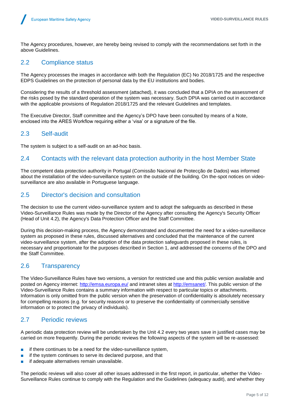The Agency procedures, however, are hereby being revised to comply with the recommendations set forth in the above Guidelines.

#### <span id="page-4-0"></span>2.2 Compliance status

The Agency processes the images in accordance with both the Regulation (EC) No 2018/1725 and the respective EDPS Guidelines on the protection of personal data by the EU institutions and bodies.

Considering the results of a threshold assessment (attached), it was concluded that a DPIA on the assessment of the risks posed by the standard operation of the system was necessary. Such DPIA was carried out in accordance with the applicable provisions of Regulation 2018/1725 and the relevant Guidelines and templates.

The Executive Director, Staff committee and the Agency's DPO have been consulted by means of a Note, enclosed into the ARES Workflow requiring either a 'visa' or a signature of the file.

#### <span id="page-4-1"></span>2.3 Self-audit

The system is subject to a self-audit on an ad-hoc basis.

#### <span id="page-4-2"></span>2.4 Contacts with the relevant data protection authority in the host Member State

The competent data protection authority in Portugal (Comissão Nacional de Protecção de Dados) was informed about the installation of the video-surveillance system on the outside of the building. On the-spot notices on videosurveillance are also available in Portuguese language.

#### <span id="page-4-3"></span>2.5 Director's decision and consultation

The decision to use the current video-surveillance system and to adopt the safeguards as described in these Video-Surveillance Rules was made by the Director of the Agency after consulting the Agency's Security Officer (Head of Unit 4.2), the Agency's Data Protection Officer and the Staff Committee.

During this decision-making process, the Agency demonstrated and documented the need for a video-surveillance system as proposed in these rules, discussed alternatives and concluded that the maintenance of the current video-surveillance system, after the adoption of the data protection safeguards proposed in these rules, is necessary and proportionate for the purposes described in Section 1, and addressed the concerns of the DPO and the Staff Committee.

#### <span id="page-4-4"></span>2.6 Transparency

The Video-Surveillance Rules have two versions, a version for restricted use and this public version available and posted on Agency internet:<http://emsa.europa.eu/> and intranet sites at [http://emsanet/.](http://emsanet/) This public version of the Video-Surveillance Rules contains a summary information with respect to particular topics or attachments. Information is only omitted from the public version when the preservation of confidentiality is absolutely necessary for compelling reasons (e.g. for security reasons or to preserve the confidentiality of commercially sensitive information or to protect the privacy of individuals).

#### <span id="page-4-5"></span>2.7 Periodic reviews

A periodic data protection review will be undertaken by the Unit 4.2 every two years save in justified cases may be carried on more frequently. During the periodic reviews the following aspects of the system will be re-assessed:

- if there continues to be a need for the video-surveillance system,
- if the system continues to serve its declared purpose, and that
- if adequate alternatives remain unavailable.

The periodic reviews will also cover all other issues addressed in the first report, in particular, whether the Video-Surveillance Rules continue to comply with the Regulation and the Guidelines (adequacy audit), and whether they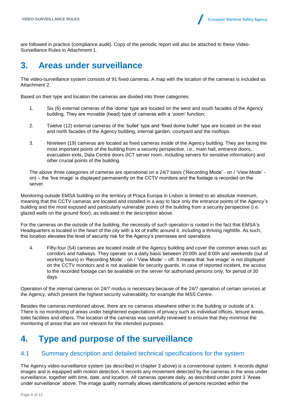are followed in practice (compliance audit). Copy of the periodic report will also be attached to these Video-Surveillance Rules in Attachment 1.

### <span id="page-5-0"></span>**3. Areas under surveillance**

The video-surveillance system consists of 91 fixed cameras. A map with the location of the cameras is included as Attachment 2.

Based on their type and location the cameras are divided into three categories:

- 1. Six (6) external cameras of the 'dome' type are located on the west and south facades of the Agency building. They are movable (head) type of cameras with a 'zoom' function;
- 2. Twelve (12) external cameras of the 'bullet' type and 'fixed dome bullet' type are located on the east and north facades of the Agency building, internal garden, courtyard and the rooftops.
- 3. Nineteen (19) cameras are located as fixed cameras inside of the Agency building. They are facing the most important points of the building from a security perspective, i.e., main hall, entrance doors, evacuation exits, Data Centre doors (ICT server room, including servers for sensitive information) and other crucial points of the building.

The above three categories of cameras are operational on a 24/7 basis ('Recording Mode' - on / 'View Mode' on) – the 'live image' is displayed permanently on the CCTV monitors and the footage is recorded on the server.

Monitoring outside EMSA building on the territory of Praça Europa in Lisbon is limited to an absolute minimum, meaning that the CCTV cameras are located and installed in a way to face only the entrance points of the Agency's building and the most exposed and particularly vulnerable points of the building from a security perspective (i.e. glazed walls on the ground floor), as indicated in the description above.

For the cameras on the outside of the building, the necessity of such operation is rooted in the fact that EMSA's Headquarters is located in the heart of the city with a lot of traffic around it, including a thriving nightlife. As such, this location elevates the level of security risk for the Agency's premisses and operations.

4. Fifty-four (54) cameras are located inside of the Agency building and cover the common areas such as corridors and hallways. They operate on a daily basis between 20:00h and 8:00h and weekends (out of working hours) in 'Recording Mode' - on / 'View Mode' – off. It means that 'live image' is not displayed on the CCTV monitors and is not available for security guards. In case of reported incident, the access to the recorded footage can be available on the server for authorised persons only, for period of 30 days.

Operation of the internal cameras on 24/7 modus is necessary because of the 24/7 operation of certain services at the Agency, which present the highest security vulnerability, for example the MSS Centre.

Besides the cameras mentioned above, there are no cameras elsewhere either in the building or outside of it. There is no monitoring of areas under heightened expectations of privacy such as individual offices, leisure areas, toilet facilities and others. The location of the cameras was carefully reviewed to ensure that they minimise the monitoring of areas that are not relevant for the intended purposes.

### <span id="page-5-1"></span>**4. Type and purpose of the surveillance**

#### <span id="page-5-2"></span>4.1 Summary description and detailed technical specifications for the system

The Agency video-surveillance system (as described in chapter 3 above) is a conventional system. It records digital images and is equipped with motion detection. It records any movement detected by the cameras in the area under surveillance, together with time, date, and location. All cameras operate daily, as described under point 3 'Areas under surveillance' above. The image quality normally allows identifications of persons recorded within the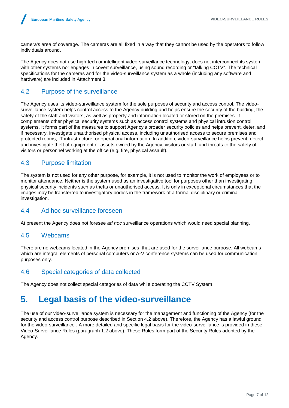camera's area of coverage. The cameras are all fixed in a way that they cannot be used by the operators to follow individuals around.

The Agency does not use high-tech or intelligent video-surveillance technology, does not interconnect its system with other systems nor engages in covert surveillance, using sound recording or "talking CCTV". The technical specifications for the cameras and for the video-surveillance system as a whole (including any software and hardware) are included in Attachment 3.

#### <span id="page-6-0"></span>4.2 Purpose of the surveillance

The Agency uses its video-surveillance system for the sole purposes of security and access control. The videosurveillance system helps control access to the Agency building and helps ensure the security of the building, the safety of the staff and visitors, as well as property and information located or stored on the premises. It complements other physical security systems such as access control systems and physical intrusion control systems. It forms part of the measures to support Agency's broader security policies and helps prevent, deter, and if necessary, investigate unauthorised physical access, including unauthorised access to secure premises and protected rooms, IT infrastructure, or operational information. In addition, video-surveillance helps prevent, detect and investigate theft of equipment or assets owned by the Agency, visitors or staff, and threats to the safety of visitors or personnel working at the office (e.g. fire, physical assault).

#### <span id="page-6-1"></span>4.3 Purpose limitation

The system is not used for any other purpose, for example, it is not used to monitor the work of employees or to monitor attendance. Neither is the system used as an investigative tool for purposes other than investigating physical security incidents such as thefts or unauthorised access. It is only in exceptional circumstances that the images may be transferred to investigatory bodies in the framework of a formal disciplinary or criminal investigation.

#### <span id="page-6-2"></span>4.4 Ad hoc surveillance foreseen

At present the Agency does not foresee *ad hoc* surveillance operations which would need special planning.

#### <span id="page-6-3"></span>4.5 Webcams

There are no webcams located in the Agency premises, that are used for the surveillance purpose. All webcams which are integral elements of personal computers or A-V conference systems can be used for communication purposes only.

#### <span id="page-6-4"></span>4.6 Special categories of data collected

The Agency does not collect special categories of data while operating the CCTV System.

### <span id="page-6-5"></span>**5. Legal basis of the video-surveillance**

The use of our video-surveillance system is necessary for the management and functioning of the Agency (for the security and access control purpose described in Section 4.2 above). Therefore, the Agency has a lawful ground for the video-surveillance . A more detailed and specific legal basis for the video-surveillance is provided in these Video-Surveillance Rules (paragraph 1.2 above). These Rules form part of the Security Rules adopted by the Agency.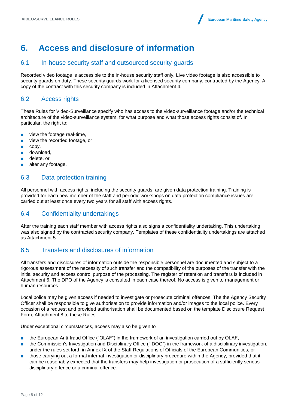### <span id="page-7-0"></span>**6. Access and disclosure of information**

#### <span id="page-7-1"></span>6.1 In-house security staff and outsourced security-guards

Recorded video footage is accessible to the in-house security staff only. Live video footage is also accessible to security guards on duty. These security guards work for a licensed security company, contracted by the Agency. A copy of the contract with this security company is included in Attachment 4.

#### <span id="page-7-2"></span>6.2 Access rights

These Rules for Video-Surveillance specify who has access to the video-surveillance footage and/or the technical architecture of the video-surveillance system, for what purpose and what those access rights consist of. In particular, the right to:

- view the footage real-time,
- view the recorded footage, or
- copy,
- download,
- delete, or
- alter any footage.

#### <span id="page-7-3"></span>6.3 Data protection training

All personnel with access rights, including the security guards, are given data protection training. Training is provided for each new member of the staff and periodic workshops on data protection compliance issues are carried out at least once every two years for all staff with access rights.

#### <span id="page-7-4"></span>6.4 Confidentiality undertakings

After the training each staff member with access rights also signs a confidentiality undertaking. This undertaking was also signed by the contracted security company. Templates of these confidentiality undertakings are attached as Attachment 5.

#### <span id="page-7-5"></span>6.5 Transfers and disclosures of information

All transfers and disclosures of information outside the responsible personnel are documented and subject to a rigorous assessment of the necessity of such transfer and the compatibility of the purposes of the transfer with the initial security and access control purpose of the processing. The register of retention and transfers is included in Attachment 6. The DPO of the Agency is consulted in each case thereof. No access is given to management or human resources.

Local police may be given access if needed to investigate or prosecute criminal offences. The the Agency Security Officer shall be responsible to give authorisation to provide information and/or images to the local police. Every occasion of a request and provided authorisation shall be documented based on the template Disclosure Request Form, Attachment 8 to these Rules.

Under exceptional circumstances, access may also be given to

- the European Anti-fraud Office ("OLAF") in the framework of an investigation carried out by OLAF,
- the Commission's Investigation and Disciplinary Office ("IDOC") in the framework of a disciplinary investigation, under the rules set forth in Annex IX of the Staff Regulations of Officials of the European Communities, or
- those carrying out a formal internal investigation or disciplinary procedure within the Agency, provided that it can be reasonably expected that the transfers may help investigation or prosecution of a sufficiently serious disciplinary offence or a criminal offence.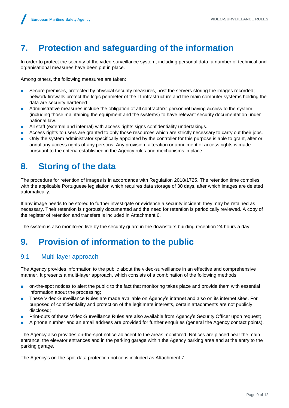# <span id="page-8-0"></span>**7. Protection and safeguarding of the information**

In order to protect the security of the video-surveillance system, including personal data, a number of technical and organisational measures have been put in place.

Among others, the following measures are taken:

- Secure premises, protected by physical security measures, host the servers storing the images recorded; network firewalls protect the logic perimeter of the IT infrastructure and the main computer systems holding the data are security hardened.
- Administrative measures include the obligation of all contractors' personnel having access to the system (including those maintaining the equipment and the systems) to have relevant security documentation under national law.
- All staff (external and internal) with access rights signs confidentiality undertakings.
- Access rights to users are granted to only those resources which are strictly necessary to carry out their jobs.
- Only the system administrator specifically appointed by the controller for this purpose is able to grant, alter or annul any access rights of any persons. Any provision, alteration or annulment of access rights is made pursuant to the criteria established in the Agency rules and mechanisms in place.

### <span id="page-8-1"></span>**8. Storing of the data**

The procedure for retention of images is in accordance with Regulation 2018/1725. The retention time complies with the applicable Portuguese legislation which requires data storage of 30 days, after which images are deleted automatically.

If any image needs to be stored to further investigate or evidence a security incident, they may be retained as necessary. Their retention is rigorously documented and the need for retention is periodically reviewed. A copy of the register of retention and transfers is included in Attachment 6.

The system is also monitored live by the security guard in the downstairs building reception 24 hours a day.

### <span id="page-8-2"></span>**9. Provision of information to the public**

#### <span id="page-8-3"></span>9.1 Multi-layer approach

The Agency provides information to the public about the video-surveillance in an effective and comprehensive manner. It presents a multi-layer approach, which consists of a combination of the following methods:

- on-the-spot notices to alert the public to the fact that monitoring takes place and provide them with essential information about the processing;
- These Video-Surveillance Rules are made available on Agency's intranet and also on its internet sites. For purposed of confidentiality and protection of the legitimate interests, certain attachments are not publicly disclosed;
- Print-outs of these Video-Surveillance Rules are also available from Agency's Security Officer upon request;
- A phone number and an email address are provided for further enquiries (general the Agency contact points).

The Agency also provides on-the-spot notice adjacent to the areas monitored. Notices are placed near the main entrance, the elevator entrances and in the parking garage within the Agency parking area and at the entry to the parking garage.

The Agency's on-the-spot data protection notice is included as Attachment 7.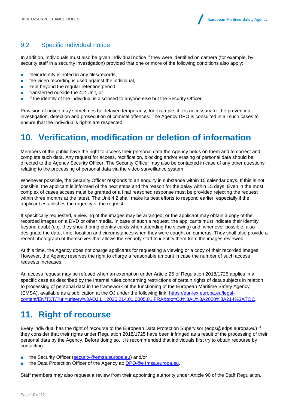#### <span id="page-9-0"></span>9.2 Specific individual notice

In addition, individuals must also be given individual notice if they were identified on camera (for example, by security staff in a security investigation) provided that one or more of the following conditions also apply:

- their identity is noted in any files/records,
- the video recording is used against the individual,
- kept beyond the regular retention period,
- transferred outside the 4.2 Unit, or
- if the identity of the individual is disclosed to anyone else but the Security Officer.

Provision of notice may sometimes be delayed temporarily, for example, if it is necessary for the prevention, investigation, detection and prosecution of criminal offences. The Agency DPO is consulted in all such cases to ensure that the individual's rights are respected

### <span id="page-9-1"></span>**10. Verification, modification or deletion of information**

Members of the public have the right to access their personal data the Agency holds on them and to correct and complete such data. Any request for access, rectification, blocking and/or erasing of personal data should be directed to the Agency Security Officer. The Security Officer may also be contacted in case of any other questions relating to the processing of personal data via the video surveillance system.

Whenever possible, the Security Officer responds to an enquiry in substance within 15 calendar days. If this is not possible, the applicant is informed of the next steps and the reason for the delay within 15 days. Even in the most complex of cases access must be granted or a final reasoned response must be provided rejecting the request within three months at the latest. The Unit 4.2 shall make its best efforts to respond earlier, especially if the applicant establishes the urgency of the request.

If specifically requested, a viewing of the images may be arranged, or the applicant may obtain a copy of the recorded images on a DVD or other media. In case of such a request, the applicants must indicate their identity beyond doubt (e.g. they should bring identity cards when attending the viewing) and, whenever possible, also designate the date, time, location and circumstances when they were caught on cameras. They shall also provide a recent photograph of themselves that allows the security staff to identify them from the images reviewed.

At this time, the Agency does not charge applicants for requesting a viewing or a copy of their recorded images. However, the Agency reserves the right to charge a reasonable amount in case the number of such access requests increases.

An access request may be refused when an exemption under Article 25 of Regulation 2018/1725 applies in a specific case as described by the Internal rules concerning restrictions of certain rights of data subjects in relation to processing of personal data in the framework of the functioning of the European Maritime Safety Agency (EMSA), available as a publication at the OJ under the following link: [https://eur-lex.europa.eu/legal](https://eur-lex.europa.eu/legal-content/EN/TXT/?uri=uriserv%3AOJ.L_.2020.214.01.0005.01.FRA&toc=OJ%3AL%3A2020%3A214%3ATOC)[content/EN/TXT/?uri=uriserv%3AOJ.L\\_.2020.214.01.0005.01.FRA&toc=OJ%3AL%3A2020%3A214%3ATOC.](https://eur-lex.europa.eu/legal-content/EN/TXT/?uri=uriserv%3AOJ.L_.2020.214.01.0005.01.FRA&toc=OJ%3AL%3A2020%3A214%3ATOC)

### <span id="page-9-2"></span>**11. Right of recourse**

Every individual has the right of recourse to the European Data Protection Supervisor (edps@edps.europa.eu) if they consider that their rights under Regulation 2018/1725 have been infringed as a result of the processing of their personal data by the Agency. Before doing so, it is recommended that individuals first try to obtain recourse by contacting:

- the Security Officer [\(security@emsa.europa.eu\)](mailto:security@emsa.europa.eu) and/or
- the Data Protection Officer of the Agency at: [DPO@e4msa.europa.eu.](mailto:DPO@e4msa.europa.eu)

Staff members may also request a review from their appointing authority under Article 90 of the Staff Regulation.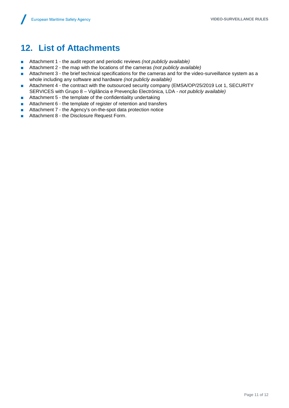# <span id="page-10-0"></span>**12. List of Attachments**

- Attachment 1 the audit report and periodic reviews *(not publicly available)*
- Attachment 2 the map with the locations of the cameras *(not publicly available)*
- Attachment 3 the brief technical specifications for the cameras and for the video-surveillance system as a whole including any software and hardware *(not publicly available)*
- Attachment 4 the contract with the outsourced security company (EMSA/OP/25/2019 Lot 1, SECURITY SERVICES with Grupo 8 – Vigilância e Prevenção Electrónica, LDA *- not publicly available)*
- Attachment 5 the template of the confidentiality undertaking
- Attachment 6 the template of register of retention and transfers
- Attachment 7 the Agency's on-the-spot data protection notice
- Attachment 8 the Disclosure Request Form.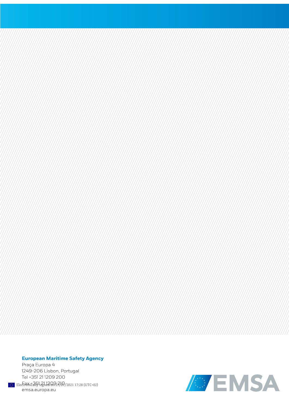#### **European Maritime Safety Agency**

Praça Europa 4 1249-206 Lisbon, Portugal Tel +351 211209 200  $\frac{1}{2}$  Electronically sighed on 27/07/2021 17:28 (UTC+02)<br>emsa.europa.eu

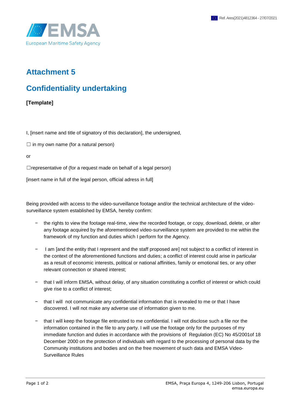

### **Attachment 5**

### **Confidentiality undertaking**

#### **[Template]**

I, [insert name and title of signatory of this declaration], the undersigned,

 $\Box$  in my own name (for a natural person)

or

 $\Box$ representative of (for a request made on behalf of a legal person)

[insert name in full of the legal person, official adress in full]

Being provided with access to the video-surveillance footage and/or the technical architecture of the videosurveillance system established by EMSA, hereby confirm:

- the rights to view the footage real-time, view the recorded footage, or copy, download, delete, or alter any footage acquired by the aforementioned video-surveillance system are provided to me within the framework of my function and duties which I perform for the Agency.
- − I am [and the entity that I represent and the staff proposed are] not subject to a conflict of interest in the context of the aforementioned functions and duties; a conflict of interest could arise in particular as a result of economic interests, political or national affinities, family or emotional ties, or any other relevant connection or shared interest;
- − that I will inform EMSA, without delay, of any situation constituting a conflict of interest or which could give rise to a conflict of interest;
- − that I will not communicate any confidential information that is revealed to me or that I have discovered. I will not make any adverse use of information given to me.
- − that I will keep the footage file entrusted to me confidential. I will not disclose such a file nor the information contained in the file to any party. I will use the footage only for the purposes of my immediate function and duties in accordance with the provisions of Regulation (EC) No 45/2001of 18 December 2000 on the protection of individuals with regard to the processing of personal data by the Community institutions and bodies and on the free movement of such data and EMSA Video-Surveillance Rules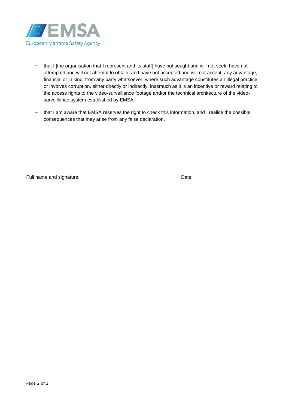

- − that I [the organisation that I represent and its staff] have not sought and will not seek, have not attempted and will not attempt to obtain, and have not accepted and will not accept, any advantage, financial or in kind, from any party whatsoever, where such advantage constitutes an illegal practice or involves corruption, either directly or indirectly, inasmuch as it is an incentive or reward relating to the access rights to the video-surveillance footage and/or the technical architecture of the videosurveillance system established by EMSA.
- − that I am aware that EMSA reserves the right to check this information, and I realise the possible consequences that may arise from any false declaration.

Full name and signature: Date: Date: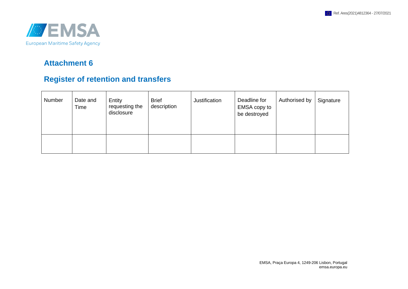

### **Attachment 6**

### **Register of retention and transfers**

| Number | Date and<br>Time | Entity<br>requesting the<br>disclosure | <b>Brief</b><br>description | Justification | Deadline for<br>EMSA copy to<br>be destroyed | Authorised by | Signature |
|--------|------------------|----------------------------------------|-----------------------------|---------------|----------------------------------------------|---------------|-----------|
|        |                  |                                        |                             |               |                                              |               |           |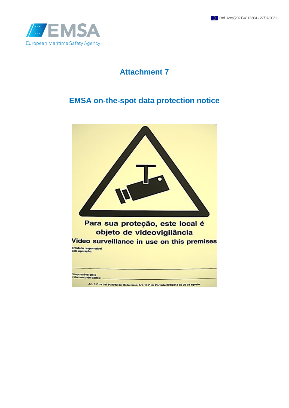

### **Attachment 7**

### **EMSA on-the-spot data protection notice**